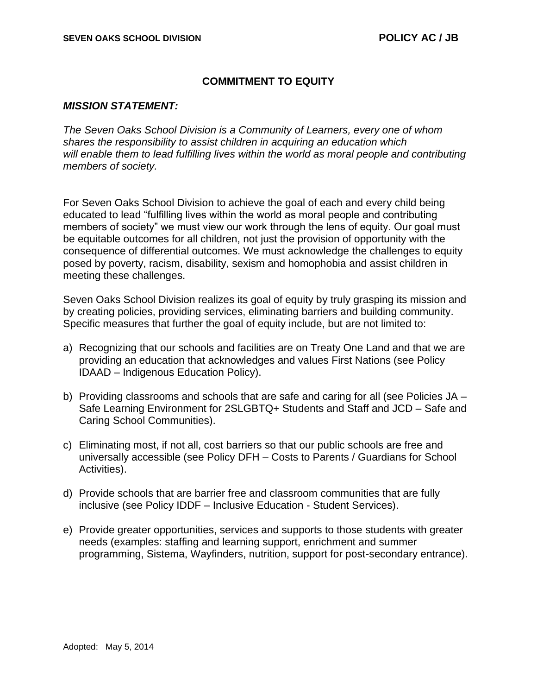## **COMMITMENT TO EQUITY**

## *MISSION STATEMENT:*

*The Seven Oaks School Division is a Community of Learners, every one of whom shares the responsibility to assist children in acquiring an education which*  will enable them to lead fulfilling lives within the world as moral people and contributing *members of society.*

For Seven Oaks School Division to achieve the goal of each and every child being educated to lead "fulfilling lives within the world as moral people and contributing members of society" we must view our work through the lens of equity. Our goal must be equitable outcomes for all children, not just the provision of opportunity with the consequence of differential outcomes. We must acknowledge the challenges to equity posed by poverty, racism, disability, sexism and homophobia and assist children in meeting these challenges.

Seven Oaks School Division realizes its goal of equity by truly grasping its mission and by creating policies, providing services, eliminating barriers and building community. Specific measures that further the goal of equity include, but are not limited to:

- a) Recognizing that our schools and facilities are on Treaty One Land and that we are providing an education that acknowledges and values First Nations (see Policy IDAAD – Indigenous Education Policy).
- b) Providing classrooms and schools that are safe and caring for all (see Policies JA Safe Learning Environment for 2SLGBTQ+ Students and Staff and JCD – Safe and Caring School Communities).
- c) Eliminating most, if not all, cost barriers so that our public schools are free and universally accessible (see Policy DFH – Costs to Parents / Guardians for School Activities).
- d) Provide schools that are barrier free and classroom communities that are fully inclusive (see Policy IDDF – Inclusive Education - Student Services).
- e) Provide greater opportunities, services and supports to those students with greater needs (examples: staffing and learning support, enrichment and summer programming, Sistema, Wayfinders, nutrition, support for post-secondary entrance).